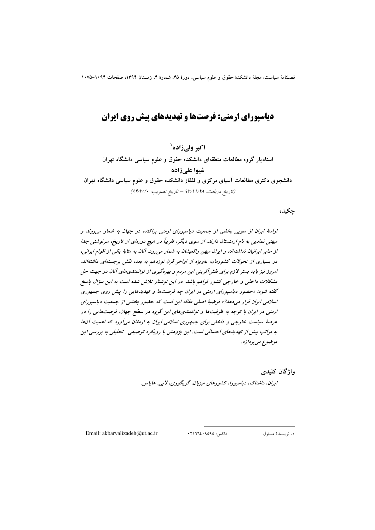# دیاسیورای ارمنی: فرصتها و تهدیدهای پیش روی ایران

اکبر ولی زاده` استادیار گروه مطالعات منطقهای دانشکده حقوق و علوم سیاسی دانشگاه تهران شیوا علی زاده دانشجوی دکتری مطالعات آسیای مرکزی و قفقاز دانشکده حقوق و علوم سیاسی دانشگاه تهران (تاريخ دريافت: ١/٢٨ /٩٣/١ - تاريخ تصويب: ٩٢/٢/٢٠)

حكىدە

ارامنهٔ ایران از سویی بخشی از جمعیت دیاسپورای ارمنی پراکنده در جهان به شمار می روند و میهنی نمادین به نام ارمنستان دارند. از سوی دیگر، تقریباً در هیچ دورهای از تاریخ، سرنوشتی جدا از سایر ایرانیان نداشتهاند و ایران میهن واقعیشان به شمار می رود. آنان به مثابهٔ یکی از اقوام ایرانی، در بسیاری از تحولات کشورمان، بهویژه از اواخر قرن نوزدهم به بعد، نقش برجستهای داشتهاند. امروز نیز باید بستر لازم برای نقش آفرینی این مردم و بهرهگیری از توانمندی های آنان در جهت حل مشکلات داخلی و خارجی کشور فراهم باشد. در این نوشتار تلاش شده است به این سؤال پاسخ گفته شود: «حضور دیاسپورای ارمنی در ایران چه فرصتها و تهدیدهایی را پیش روی جمهوری اسلامی ایران قرار می دهد؟» فرضیهٔ اصلی مقاله این است که حضور بخشی از جمعیت دیاسپورای ارمنی در ایران با توجه به ظرفیتها و توانمندی های این گروه در سطح جهان، فرصتهایی را در عرصهٔ سیاست خارجی و داخلی برای جمهوری اسلامی ایران به ارمغان میآورد که اهمیت آنها به مراتب بیش از تهدیدهای احتمالی است. این پژوهش با رویکرد توصیفی- تحلیلی به بررسی این موضوع مي پردازد.

> واژگان کلیدی ايران، داشناك، دياسپورا، كشورهاي ميزبان، گريگوري، لابي، هاياس.

Email: akbarvalizadeh@ut.ac.ir

فاكس: ٩٥٩٥ ، ٢١٦٦٤ ١. نويسندهٔ مسئول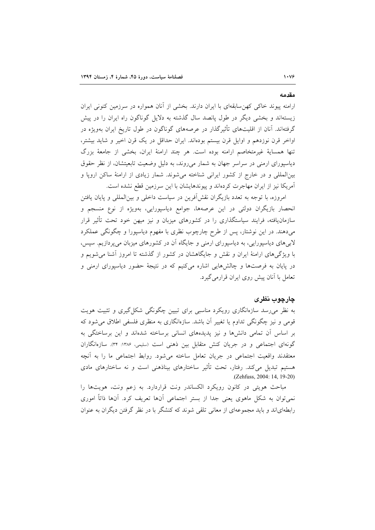# مقدمه

ارامنه پیوند خاکی کهن سابقهای با ایران دارند. بخشی از آنان همواره در سرزمین کنونی ایران زیستهاند و بخشی دیگر در طول پانصد سال گذشته به دلایل گوناگون راه ایران را در پیش گرفتهاند. آنان از اقلیتهای تأثیرگذار در عرصههای گوناگون در طول تاریخ ایران بهویژه در اواخر قرن نوزدهم و اوایل قرن بیستم بودهاند. ایران حداقل در یک قرن اخیر و شاید بیشتر، تنها همساية غيرمتخاصم ارامنه بوده است. هر چند ارامنهٔ ايران، بخشى از جامعهٔ بزرگ دیاسپورای ارمنی در سراسر جهان به شمار میروند، به دلیل وضعیت تابعیتشان، از نظر حقوق بینالمللی و در خارج از کشور ایرانی شناخته میشوند. شمار زیادی از ارامنهٔ ساکن اروپا و آمریکا نیز از ایران مهاجرت کردهاند و پیوندهایشان با این سرزمین قطع نشده است.

امروزه، با توجه به تعدد بازیگران نقش[فرین در سیاست داخلی و بینالمللی و پایان یافتن انحصار بازیگران دولتی در این عرصهها، جوامع دیاسپورایی، بهویژه از نوع منسجم و سازمانیافته، فرایند سیاستگذاری را در کشورهای میزبان و نیز میهن خود تحت تأثیر قرار می،دهند. در این نوشتار، پس از طرح چارچوب نظری با مفهوم دیاسیورا و چگونگی عملکرد لابیهای دیاسپورایی، به دیاسپورای ارمنی و جایگاه آن در کشورهای میزبان میپردازیم. سپس، با ویژگیهای ارامنهٔ ایران و نقش و جایگاهشان در کشور از گذشته تا امروز آشنا می شویم و در پایان به فرصتها و چالشهایی اشاره میکنیم که در نتیجهٔ حضور دیاسپورای ارمنی و تعامل با أنان پیش روی ایران قرارمی گیرد.

### چارچوب نظری

به نظر می٫رسد سازهانگاری رویکرد مناسبی برای تبیین چگونگی شکل گیری و تثبیت هویت قومی و نیز چگونگی تداوم یا تغییر آن باشد. سازهانگاری به منظری فلسفی اطلاق می شود که بر اساس آن تمامی دانشها و نیز پدیدههای انسانی برساخته شدهاند و این برساختگی به گونهای اجتماعی و در جریان کنش متقابل بین ذهنی است (سلیمی، ۱۳۸۶: ۳۴). سازهانگاران معتقدند واقعیت اجتماعی در جریان تعامل ساخته می شود. روابط اجتماعی ما را به آنچه هستیم تبدیل میکند. رفتار، تحت تأثیر ساختارهای بیناذهنی است و نه ساختارهای مادی (Zehfuss, 2004; 14, 19-20)

مباحث هویتی در کانون رویکرد الکساندر ونت قراردارد. به زعم ونت، هویتها را نمی توان به شکل ماهوی یعنی جدا از بستر اجتماعی آنها تعریف کرد. آنها ذاتاً اموری رابطهایاند و باید مجموعهای از معانی تلقی شوند که کنشگر با در نظر گرفتن دیگران به عنوان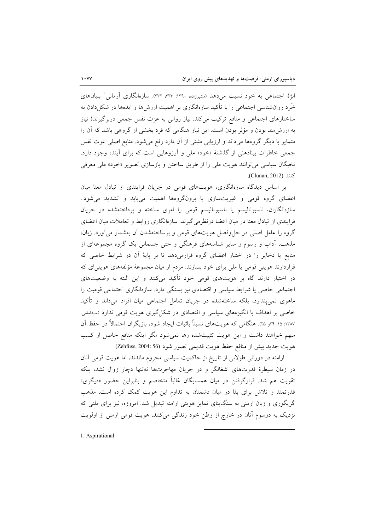ابژهٔ اجتماعی به خود نسبت می۵هد (مشیرزاده، ۱۳۹۰: ۳۳۳. ۳۳۳). سازمانگاری آرمانی ( بنیانهای خُرد روانشناسی اجتماعی را با تأکید سازمانگاری بر اهمیت ارزش ها و ایدهها در شکا دادن به ساختارهای اجتماعی و منافع ترکیب میکند. نیاز روانی به عزت نفس جمعی دربرگیرندهٔ نیاز به ارزش،مند بودن و مؤثر بودن است. این نیاز هنگامی که فرد بخشی از گروهی باشد که آن را متمایز با دیگر گروهها میداند و ارزیابی مثبتی از آن دارد رفع میشود. منابع اصلی عزت نفس جمعی خاطرات بیناذهنی از گذشتهٔ «خود» ملی و آرزوهایی است که برای آینده وجود دارد. نخبگان سیاسی می توانند هویت ملی را از طریق ساختن و بازسازی تصویر «خود» ملی معرفی كنند (Clunan, 2012).

بر اساس دیدگاه سازهانگاری، هویتهای قومی در جریان فرایندی از تبادل معنا میان اعضای گروه قومی و غیریتسازی با برونگروهها اهمیت می یابد و تشدید می شود.. سازەانگاران، ناسیونالیسم یا ناسیونالیسم قومی را امری ساخته و پرداختهشده در جریان فرایندی از تبادل معنا در میان اعضا درنظرمیگیرند. سازهانگاری روابط و تعاملات میان اعضای گروه را عامل اصلی در حل وفصل هویتهای قومی و برساختهشدن آن بهشمار میآورد. زبان، مذهب، اَداب و رسوم و سایر شناسههای فرهنگی و حتی جسمانی یک گروه مجموعهای از منابع یا ذخایر را در اختیار اعضای گروه قرارمیدهد تا بر پایهٔ آن در شرایط خاصی که قراردارند هویتی قومی یا ملی برای خود بسازند. مردم از میان مجموعهٔ مؤلفههای هویتی ای که در اختیار دارند گاه بر هویتهای قومی خود تأکید میکنند و این البته به وضعیتهای اجتماعی خاصی یا شرایط سیاسی و اقتصادی نیز بستگی دارد. سازهانگاری اجتماعی قومیت را ماهوی نمی پندارد، بلکه ساختهشده در جریان تعامل اجتماعی میان افراد میداند و تأکید خاصی بر اهداف یا انگیزههای سیاسی و اقتصادی در شکل گیری هویت قومی ندارد (سیدامامی، ١٣٨٧: ١٥، ٢٢و ٢٥). هنگامي كه هويتهاي نسبتاً باثبات ايجاد شود، بازيگران احتمالاً در حفظ آن سهم خواهند داشت و این هویت تثبیتشده رها نمی شود مگر اینکه منافع حاصل از کسب هويت جديد بيش از منافع حفظ هويت قديمي تصور شود (Zehfuss, 2004: 56).

ارامنه در دورانی طولانی از تاریخ از حاکمیت سیاسی محروم ماندند، اما هویت قومی آنان در زمان سیطرهٔ قدرتهای اشغالگر و در جریان مهاجرتها نهتنها دچار زوال نشد، بلکه تقویت هم شد. قرارگرفتن در میان همسایگان غالباً متخاصم و بنابراین حضور «دیگری» قدرتمند و تلاش برای بقا در میان دشمنان به تداوم این هویت کمک کرده است. مذهب گریگوری و زبان ارمنی به سنگبنای تمایز هویتی ارامنه تبدیل شد. امروزه، نیز برای ملتی که نزدیک به دوسوم آنان در خارج از وطن خود زندگی میکنند، هویت قومی ارمنی از اولویت

1. Aspirational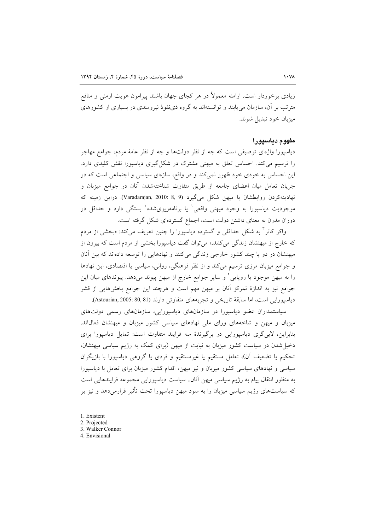زیادی برخوردار است. ارامنه معمولاً در هر کجای جهان باشند پیرامون هویت ارمنی و منافع مترتب بر آن، سازمان می پابند و توانستهاند به گروه ذی نفوذ نیرومندی در بسیاری از کشورهای ميزبان خود تبديل شوند.

### مفهوم دياسيورا

دیاسپورا واژهای توصیفی است که چه از نظر دولتها و چه از نظر عامهٔ مردم، جوامع مهاجر را ترسیم میکند. احساس تعلق به میهنی مشترک در شکل گیری دیاسپورا نقش کلیدی دارد. این احساس به خودی خود ظهور نمی کند و در واقع، سازهای سیاسی و اجتماعی است که در جریان تعامل میان اعضای جامعه از طریق متفاوت شناختهشدن آنان در جوامع میزبان و نهادينه كردن روابطشان با ميهن شكل مي گيرد (Varadarajan, 2010: 8, 9). دراين زمينه كه موجودیت دیاسپورا به وجود میهنی واقعی<sup>۱</sup> یا برنامهریزیشده<sup>۲</sup> بستگی دارد و حداقل در دوران مدرن به معنای داشتن دولت است، اجماع گستردهای شکل گرفته است.

واکر کانر <sup>۳</sup> به شکل حداقلی و گسترده دیاسیورا را چنین تعریف میکند: «بخشی از مردم که خارج از میهنشان زندگی میکنند.» میتوان گفت دیاسپورا بخشی از مردم است که بیرون از میهنشان در دو یا چند کشور خارجی زندگی میکنند و نهادهایی را توسعه دادهاند که بین آنان و جوامع میزبان مرزی ترسیم میکند و از نظر فرهنگی، روانی، سیاسی یا اقتصادی، این نهادها را به میهن موجود یا رویایی ٔ و سایر جوامع خارج از میهن پیوند میدهد. پیوندهای میان این جوامع نیز به اندازهٔ تمرکز آنان بر میهن مهم است و هرچند این جوامع بخشهایی از قشر دياسيورايي است، اما سابقة تاريخي و تجربههاي متفاوتي دارند (80,81 :Astourian, 2005: 80, 81).

سیاستمداران عضو دیاسپورا در سازمانهای دیاسپورایی، سازمانهای رسمی دولتهای میزبان و میهن و شاخههای ورای ملی نهادهای سیاسی کشور میزبان و میهنشان فعال|ند. بنابراین، لابی گری دیاسپورایی در برگیرندهٔ سه فرایند متفاوت است: تمایل دیاسپورا برای دخیل شدن در سیاست کشور میزبان به نیابت از میهن (برای کمک به رژیم سیاسی میهنشان، تحکیم یا تضعیف آن)، تعامل مستقیم یا غیرمستقیم و فردی یا گروهی دیاسپورا با بازیگران سیاسی و نهادهای سیاسی کشور میزبان و نیز میهن، اقدام کشور میزبان برای تعامل با دیاسیورا به منظور انتقال پیام به رژیم سیاسی میهن آنان.. سیاست دیاسپورایی مجموعه فرایندهایی است که سیاستهای رژیم سیاسی میزبان را به سود میهن دیاسیورا تحت تأثیر قرارمیدهد و نیز بر

- 1. Existent
- 2. Projected
- 3. Walker Connor
- 4. Envisional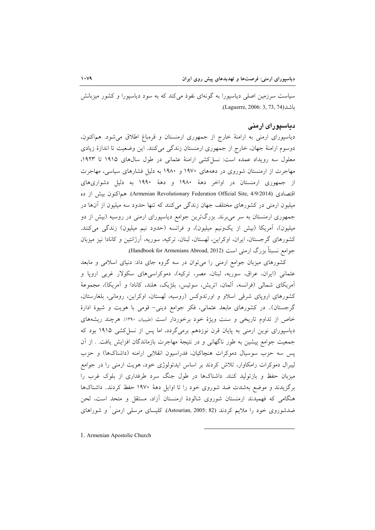سیاست سرزمین اصلی دیاسپورا به گونهای نفوذ می کند که به سود دیاسپورا و کشور میزبانش  $(Laguerre, 2006: 3, 73, 74)$ ماشد

## دیاسپورای ارمنی

دیاسپورای ارمنی به ارامنهٔ خارج از جمهوری ارمنستان و قرهباغ اطلاق میشود. هماکنون، دوسوم ارامنهٔ جهان، خارج از جمهوری ارمنستان زندگی میکنند. این وضعیت تا اندازهٔ زیادی معلول سه رویداد عمده است: نسل کشی ارامنهٔ عثمانی در طول سالهای ۱۹۱۵ تا ۱۹۲۳. مهاجرت از ارمنستان شوروی در دهههای ۱۹۷۰ و ۱۹۸۰ به دلیل فشارهای سیاسی، مهاجرت از جمهوری ارمنستان در اواخر دههٔ ۱۹۸۰ و دههٔ ۱۹۹۰ به دلیل دشواریهای اقتصادی (Armenian Revolutionary Federation Official Site, 4/9/2014). هماکنون بیش از ده میلیون ارمنی در کشورهای مختلف جهان زندگی میکنند که تنها حدود سه میلیون از آنها در جمهوری ارمنستان به سر می برند. بزرگترین جوامع دیاسپورای ارمنی در روسیه (بیش از دو میلیون)، آمریکا (بیش از یکونیم میلیون)، و فرانسه (حدود نیم میلیون) زندگی میکنند. کشورهای گرجستان، ایران، اوکراین، لهستان، لبنان، ترکیه، سوریه، آرژانتین و کانادا نیز میزبان جوامع نسبتاً بزرگ ارمنی است (Handbook for Armenians Abroad, 2012).

کشورهای میزبان جوامع ارمنی را می توان در سه گروه جای داد: دنیای اسلامی و مابعد عثمانی (ایران، عراق، سوریه، لبنان، مصر، ترکیه)، دموکراسی۵های سکولار غربی اروپا و آمريكاي شمالي (فرانسه، آلمان، اتريش، سوئيس، بلژيك، هلند، كانادا و آمريكا)، مجموعهٔ کشورهای اروپای شرقی اسلاو و اورتدوکس (روسیه، لهستان، اوکراین، رومانی، بلغارستان، گرجستان).. در کشورهای مابعد عثمانی، فکر جوامع دینی- قومی با هویت و شیوهٔ ادارهٔ خاص از تداوم تاریخی و سنت ویژهٔ خود برخوردار است (طبیبان، ١٣٩٠). هرچند ریشههای دیاسپورای نوین ارمنی به پایان قرن نوزدهم برمیگردد، اما پس از نسل کشی ۱۹۱۵ بود که جمعیت جوامع پیشین به طور ناگهانی و در نتیجهٔ مهاجرت بازماندگان افزایش یافت. . از آن يس سه حزب سوسيال دموكرات هنچاكيان، فدراسيون انقلابي ارامنه (داشناكها) و حزب لیبرال دموکرات رامکاوار، تلاش کردند بر اساس ایدئولوژی خود، هویت ارمنی را در جوامع میزبان حفظ و بازتولید کنند. داشناکها در طول جنگ سرد طرفداری از بلوک غرب را برگزیدند و موضع بهشدت ضد شوروی خود را تا اوایل دههٔ ۱۹۷۰ حفظ کردند. داشناکها هنگامی که فهمیدند ارمنستان شوروی شالودهٔ ارمنستان آزاد، مستقل و متحد است، لحن ضدشوروی خود را ملایم کردند (Astourian, 2005: 82). کلیسای مرسلی ارمنی و شوراهای

1. Armenian Apostolic Church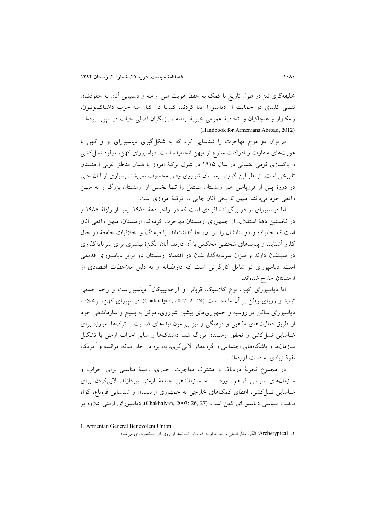خلیفهگری نیز در طول تاریخ با کمک به حفظ هویت ملی ارامنه و دستیابی آنان به حقوقشان نقشی کلیدی در حمایت از دیاسپورا ایفا کردند. کلیسا در کنار سه حزب داشناکسوتیون، رامکاوار و هنچاکیان و اتحادیهٔ عمومی خیریهٔ ارامنه ٰ، بازیگران اصلی حیات دیاسپورا بودهاند (Handbook for Armenians Abroad, 2012).

می توان دو موج مهاجرت را شناسایی کرد که به شکل گیری دیاسپورای نو و کهن با هویتهای متفاوت و ادراکات متنوع از میهن انجامیده است. دیاسپورای کهن، مولود نسل کشی و پاکسازی قومی عثمانی در سال ۱۹۱۵ در شرق ترکیهٔ امروز یا همان مناطق غربی ارمنستان تاریخی است. از نظر این گروه، ارمنستان شوروی وطن محسوب نمی شد. بسیاری از آنان حتی در دورهٔ پس از فروپاشی هم ارمنستان مستقل را تنها بخشی از ارمنستان بزرگ و نه میهن واقعي خود مي دانند. ميهن تاريخي آنان جايي در تركيهٔ امروزي است.

اما دیاسپورای نو در برگیرندهٔ افرادی است که در اواخر دههٔ ۱۹۸۰، پس از زلزلهٔ ۱۹۸۸ و در نخستین دههٔ استقلال، از جمهوری ارمنستان مهاجرت کردهاند. ارمنستان، میهن واقعی أنان است که خانواده و دوستانشان را در آن، جا گذاشتهاند، با فرهنگ و اخلاقیات جامعهٔ در حال گذار آشنایند و پیوندهای شخصی محکمی با آن دارند. آنان انگیزهٔ بیشتری برای سرمایهگذاری در میهنشان دارند و میزان سرمایهگذاریشان در اقتصاد ارمنستان دو برابر دیاسپورای قدیمی است. دیاسپورای نو شامل کارگرانی است که داوطلبانه و به دلیل ملاحظات اقتصادی از ارمنستان خارج شدهاند.

اما دیاسپورای کهن، نوع کلاسیک، قربان<sub>ی</sub> و آرخهتیپیکال<sup>٬</sup> دیاسپوراست و زخم جمعی تبعید و رویای وطن بر آن مانده است (Chakhalyan, 2007: 21-24). دیاسپورای کهن، برخلاف دیاسپورای ساکن در روسیه و جمهوریهای پیشین شوروی، موفق به بسیج و سازماندهی خود از طریق فعالیتهای مذهبی و فرهنگی و نیز پیرامون ایدههای ضدیت با ترکها، مبارزه برای شناسایی نسل کشی و تحقق ارمنستان بزرگ شد. داشناکها و سایر احزاب ارمنی با تشکیل سازمانها و باشگاههای اجتماعی و گروههای لابی گری، بهویژه در خاورمیانه، فرانسه و آمریکا، نفوذ زيادي په دست آوردهاند.

در مجموع تجربهٔ دردناک و مشترک مهاجرت اجباری، زمینهٔ مناسبی برای احزاب و سازمانهای سیاسی فراهم آورد تا به سازماندهی جامعهٔ ارمنی بپردازند. لابی کردن برای شناسایی نسل کشی، اعطای کمکهای خارجی به جمهوری ارمنستان و شناسایی قرهباغ، گواه ماهیت سیاسی دیاسپورای کهن است (Chakhalyan, 2007: 26, 27). دیاسپورای ارمنی علاوه بر

<sup>1.</sup> Armenian General Benevolent Union

۲. Archetypical: الگو، مدل اصلی و نمونهٔ اولیه که سایر نمونهها از روی آن نسخهبرداری می شود.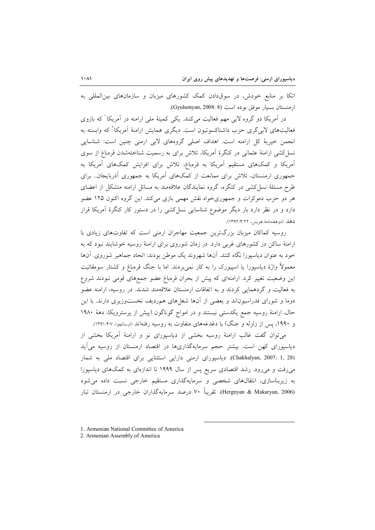اتکا بر منابع خودش، در سوقدادن کمک کشورهای میزبان و سازمانهای بین المللی به ارمنستان بسيار موفق بوده است (Gyulumyan, 2008: 8).

در آمریکا دو گروه لابی مهم فعالیت میکنند. یکی کمیتهٔ ملی ارامنه در آمریکا<sup>\</sup> که بازوی فعالیتهای لاب<sub>ی گر</sub>ی حزب داشناکسوتیون است. دیگری همایش ارامنهٔ آمریکا<sup>۲</sup> که وابسته به انجمن خیریهٔ کل ارامنه است. اهداف اصلی گروههای لابی ارمنی چنین است: شناسایی نسل کشی ارامنهٔ عثمانی در کنگرهٔ آمریکا، تلاش برای به رسمیت شناختهشدن قرهباغ از سوی .<br>آمریکا و کمکهای مستقیم آمریکا به قرهباغ، تلاش برای افزایش کمکهای آمریکا به جمهوری ارمنستان، تلاش برای ممانعت از کمکهای آمریکا به جمهوری آذربایجان.. برای طرح مسئلهٔ نسل کشی در کنگره، گروه نمایندگان علاقهمند به مسائل ارامنه متشکل از اعضای هر دو حزب دموکرات و جمهوریخواه نقش مهمی بازی میکند. این گروه اکنون ۱۲۵ عضو دارد و در نظر دارد بار دیگر موضوع شناسایی نسل کشی را در دستور کار کنگرهٔ آمریکا قرار دهل (دوهفتهنامهٔ هویس، ۱۳۹۲/۴/۲۲).

روسیه کماکان میزبان بزرگترین جمعیت مهاجران ارمنی است که تفاوتهای زیادی با ارامنهٔ ساکن در کشورهای غربی دارد. در زمان شوروی برای ارامنهٔ روسیه خوشایند نبود که به خود به عنوان دیاسپورا نگاه کنند. آنها شهروند یک موطن بودند: اتحاد جماهیر شوروی. آنها معمولاً واژهٔ دیاسیورا یا اسپیورک را به کار نمی,بردند. اما با جنگ قرمباغ و کشتار سومقائیت این وضعیت تغییر کرد. ارامنهای که پیش از بحران قرمباغ عضو جمعهای قومی نبودند شروع به فعالیت و گردهمایی کردند و به اتفاقات ارمنستان علاقهمند شدند. در روسیه، ارامنه عضو دوما و شورای فدراسیوناند و بعضی از آنها شغلهای همردیف نخستوزیری دارند. با این حال، ارامنهٔ روسیه جمع یکدستی نیستند و در امواج گوناگون (پیش از پرسترویکا، دههٔ ۱۹۸۰ و ۱۹۹۰، پس از زلزله و جنگ) با دغدغههای متفاوت به روسیه رفتهاند (اوساتچوا، ۱۳۹۱/۴/۷).

می توان گفت غالب ارامنهٔ روسیه بخشی از دیاسپورای نو و ارامنهٔ آمریکا بخشی از دیاسپورای کهن است. بیشتر حجم سرمایهگذاریها در اقتصاد ارمنستان از روسیه می آید (Chakhalyan, 2007: 1, 28). دیاسپورای ارمنی دارایی استثنایی برای اقتصاد ملی به شمار میرفت و میرود. رشد اقتصادی سریع پس از سال ۱۹۹۹ تا اندازهای به کمکهای دیاسپورا به زیربناسازی، انتقالهای شخصی و سرمایهگذاری مستقیم خارجی نسبت داده می شود (Hergnyan & Makaryan, 2006). تقريباً ۷۰ درصد سرمايهگذاران خارجي در ارمنستان تبار

1. Armenian National Committee of America

<sup>2.</sup> Armenian Assembly of America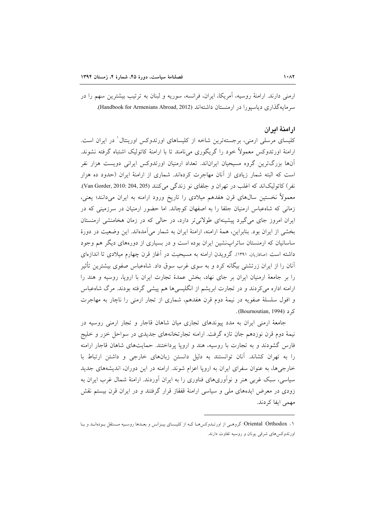ارمنی دارند. ارامنهٔ روسیه، آمریکا، ایران، فرانسه، سوریه و لبنان به ترتیب بیشترین سهم را در سرمایه گذاری دیاستورا در ارمنستان داشتهاند (Handbook for Armenians Abroad, 2012).

## ارامنة امران

کلیسای مرسلی ارمنی، برجستهترین شاخه از کلیساهای اورتدوکس اورینتال ٰ در ایران است. ارامنهٔ اورتدوکس معمولاً خود را گریگوری میiامند تا با ارامنهٔ کاتولیک اشتباه گرفته نشوند. آنها بزرگترین گروه مسیحیان ایراناند. تعداد ارمنیان اورتدوکس ایرانی دویست هزار نفر است که البته شمار زیادی از آنان مهاجرت کردهاند. شماری از ارامنهٔ ایران (حدود ده هزار نفر) كاتوليك اند كه اغلب در تهران و جلفاي نو زندگي مي كنند (Van Gorder, 2010: 204, 205). معمولاً نخستین سال0های قرن هفدهم میلادی را تاریخ ورود ارامنه به ایران میدانند؛ یعنی، زمانی که شاهعباس ارمنیان جلفا را به اصفهان کوچاند. اما حضور ارمنیان در سرزمینی که در ایران امروز جای می گیرد پیشینهای طولانی تر دارد، در حالی که در زمان هخامنشی ارمنستان بخشی از ایران بود. بنابراین، همهٔ ارامنه، ارامنهٔ ایران به شمار می آمدهاند. این وضعیت در دورهٔ ساسانیان که ارمنستان ساتراپنشین ایران بوده است و در بسیاری از دورههای دیگر هم وجود داشته است (صافاریان. ۱۳۹۱). گرویدن ارامنه به مسیحیت در آغاز قرن چهارم میلادی تا اندازهای آنان را از ایران زرتشتی بیگانه کرد و به سوی غرب سوق داد. شاهعباس صفوی بیشترین تأثیر را بر جامعهٔ ارمنیان ایران بر جای نهاد، بخش عمدهٔ تجارت ایران با اروپا، روسیه و هند را ارامنه اداره می کردند و در تجارت ابریشم از انگلیسی ها هم پیشی گرفته بودند. مرگ شاهعباس و افول سلسلهٔ صفویه در نیمهٔ دوم قرن هفدهم، شماری از تجار ارمنی را ناچار به مهاجرت . (Bournoutian, 1994).

جامعهٔ ارمنی ایران به مدد پیوندهای تجاری میان شاهان قاجار و تجار ارمنی روسیه در نیمهٔ دوم قرن نوزدهم جان تازه گرفت. ارامنه تجارتخانههای جدیدی در سواحل خزر و خلیج فارس گشودند و به تجارت با روسیه، هند و اروپا پرداختند. حمایتهای شاهان قاجار ارامنه را به تهران كشاند. آنان توانستند به دليل دانستن زبانهاى خارجى و داشتن ارتباط با خارجی ها، به عنوان سفرای ایران به اروپا اعزام شوند. ارامنه در این دوران، اندیشههای جدید سیاسی، سبک غربی هنر و نوآوریهای فناوری را به ایران آوردند. ارامنهٔ شمال غرب ایران به زودی در معرض ایدههای ملی و سیاسی ارامنهٔ قفقاز قرار گرفتند و در ایران قرن بیستم نقش مهمی ایفا کردند.

۰۱ . Oriental Orthodox: گروهـي از اورتـدوكس١هـا كـه از كليـساي بيـزانس و بعـدها روسـيه مـستقل بـودهانـد و بـا اورتدوكسهاى شرقى يونان و روسيه تفاوت دارند.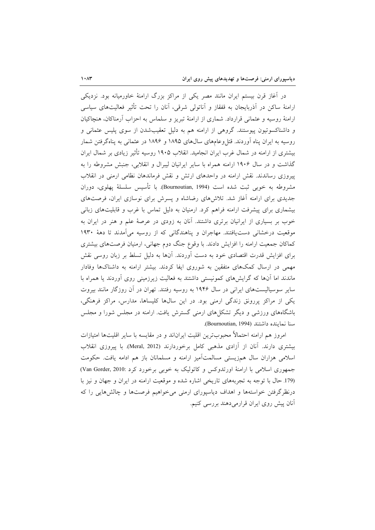در آغاز قرن بیستم ایران مانند مصر یکی از مراکز بزرگ ارامنهٔ خاورمیانه بود. نزدیکی ارامنهٔ ساکن در آذربایجان به قفقاز و آناتولی شرقی، آنان را تحت تأثیر فعالیتهای سیاسی ارامنهٔ روسیه و عثمانی قرارداد. شماری از ارامنهٔ تبریز و سلماس به احزاب آرمناکان، هنچاکیان و داشناکسوتیون پیوستند. گروهی از ارامنه هم به دلیل تعقیبشدن از سوی پلیس عثمانی و روسیه به ایران پناه آوردند. قتل وعامهای سالهای ۱۸۹۵ و ۱۸۹۶ در عثمانی به پناهگرفتن شمار بیشتری از ارامنه در شمال غرب ایران انجامید. انقلاب ۱۹۰۵ روسیه تأثیر زیادی بر شمال ایران گذاشت و در سال ۱۹۰۶ ارامنه همراه با سایر ایرانیان لیبرال و انقلابی، جنبش مشروطه را به پیروزی رساندند. نقش ارامنه در واحدهای ارتش و نقش فرماندهان نظامی ارمنی در انقلاب مشروطه به خوبی ثبت شده است (Bournoutian, 1994). با تأسیس سلسلهٔ پهلوی، دوران جدیدی برای ارامنه آغاز شد. تلاشهای رضاشاه و پسرش برای نوسازی ایران، فرصتهای بیشماری برای پیشرفت ارامنه فراهم کرد. ارمنیان به دلیل تماس با غرب و قابلیتهای زبانی خوب بر بسیاری از ایرانیان برتری داشتند. آنان به زودی در عرصهٔ علم و هنر در ایران به موقعیت درخشانی دست یافتند. مهاجران و پناهندگانی که از روسیه میآمدند تا دههٔ ۱۹۳۰ کماکان جمعیت ارامنه را افزایش دادند. با وقوع جنگ دوم جهانی، ارمنیان فرصتهای بیشتری برای افزایش قدرت اقتصادی خود به دست آوردند. آنها به دلیل تسلط بر زبان روسی نقش مهمی در ارسال کمکهای متفقین به شوروی ایفا کردند. بیشتر ارامنه به داشناکها وفادار ماندند اما آنها که گرایشهای کمونیستی داشتند به فعالیت زیرزمینی روی آوردند یا همراه با سایر سوسیالیستهای ایرانی در سال ۱۹۴۶ به روسیه رفتند. تهران در آن روزگار مانند بیروت یکی از مراکز پررونق زندگی ارمنی بود. در این سالها کلیساها، مدارس، مراکز فرهنگی، باشگاههای ورزشی و دیگر تشکلهای ارمنی گسترش یافت. ارامنه در مجلس شورا و مجلس سنا نماينده داشتند (Bournoutian, 1994).

امروز هم ارامنه احتمالاً محبوبترين اقليت ايراناند و در مقايسه با ساير اقليتها امتيازات بیشتری دارند. آنان از آزادی مذهبی کامل برخوردارند (Meral, 2012). با پیروزی انقلاب اسلامی هزاران سال همزیستی مسالمتآمیز ارامنه و مسلمانان باز هم ادامه یافت. حکومت جمهوری اسلامی با ارامنهٔ اورتدوکس و کاتولیک به خوبی برخورد کرد :Van Gorder, 2010) (179 حال با توجه به تجربههای تاریخی اشاره شده و موقعیت ارامنه در ایران و جهان و نیز با درنظرگرفتن خواستهها و اهداف دیاسپورای ارمنی می خواهیم فرصتها و چالشهایی را که آنان پیش روی ایران قرارمی دهند بررسی کنیم.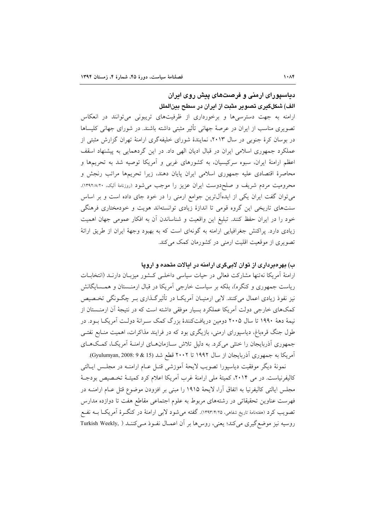# دیاسپورای ارمنی و فرصتهای پیش روی ایران الف) شکلگیری تصویر مثبت از ایران در سطح بینالملل

ارامنه به جهت دسترسی ها و برخورداری از ظرفیتهای تریبونی می توانند در انعکاس تصویری مناسب از ایران در عرصهٔ جهانی تأثیر مثبتی داشته باشند. در شورای جهانی کلیساها در بوسان کرهٔ جنوبی در سال ۲۰۱۳، نمایندهٔ شورای خلیفهگری ارامنهٔ تهران گزارش مثبتی از عملکرد جمهوری اسلامی ایران در قبال ادیان الهی داد. در این گردهمایی به پیشنهاد اسقف اعظم ارامنهٔ ایران، سبوه سرکیسیان، به کشورهای غربی و آمریکا توصیه شد به تحریمها و محاصرهٔ اقتصادی علیه جمهوری اسلامی ایران پایان دهند، زیرا تحریمها مراتب رنجش و محرومیت مردم شریف و صلحدوست ایران عزیز را موجب می شود (روزنامهٔ آلیک، ۱۳۹۲/۸/۲۰). میتوان گفت ایران یکی از ایدهآل ترین جوامع ارمنی را در خود جای داده است و بر اساس سنتهای تاریخی این گروه قومی تا اندازهٔ زیادی توانستهاند هویت و خودمختاری فرهنگی خود را در ایران حفظ کنند. تبلیغ این واقعیت و شناساندن آن به افکار عمومی جهان اهمیت زیادی دارد. پراکنش جغرافیایی ارامنه به گونهای است که به بهبود وجههٔ ایران از طریق ارائهٔ تصویری از موقعیت اقلیت ارمنی در کشورمان کمک می کند.

# ب) بهرهبرداری از توان لابیگری ارامنه در ایالات متحده و اروپا

ارامنهٔ اَمریکا نهتنها مشارکت فعالی در حیات سیاسی داخلـی کـشور میزبـان دارنــد (انتخابــات ریاست جمهوری و کنگره)، بلکه بر سیاست خارجی آمریکا در قبال ارمنـستان و همـسایگانش نیز نفوذ زیادی اعمال میکنند. لابی ارمنیـان آمریکــا در تأثیرگــذاری بــر چگــونگی تخــصیص کمکهای خارجی دولت آمریکا عملکرد بسیار موفقی داشته است که در نتیجهٔ آن ارمنـستان از نیمهٔ دههٔ ۱۹۹۰ تا سال ۲۰۰۵ دومین دریافتکنندهٔ بزرگ کمک سـرانهٔ دولـت آمریکــا بــود. در طول جنگ قرمباغ، دیاسپورای ارمنی، بازیگری بود که در فرایند مذاکرات، اهمیت منـابع نفتـی جمهوری آذربایجان را خشی می کرد. به دلیل تلاش سـازمانهـای ارامنـهٔ آمریکـا، کمـکهـای آمریکا به جمهوری آذربایجان از سال ۱۹۹۲ تا ۲۰۰۲ قطع شد (15 & 9 :008 (Gyulumyan, 2008).

نمونهٔ دیگر موفقیت دیاسپورا تصویب لایحهٔ اَموزشی قتـل عـام ارامنـه در مجلـس ایـالتی کالیفرنیاست. در می ۲۰۱۴، کمیتهٔ ملی ارامنهٔ غرب آمریکا اعلام کرد کمیتـهٔ تخـصیص بودجـهٔ مجلس ایالتی کالیفرنیا به اتفاق آرا، لایحهٔ ۱۹۱۵ را مبنی بر افزودن موضوع قتل عــام ارامنــه در فهرست عناوین تحقیقاتی در رشتههای مربوط به علوم اجتماعی مقاطع هفت تا دوازده مدارس تصويب كرد (هفتهنامهٔ تاريخ شفاهي، ١٣٩٣/٢/٢٥). گفته مي شود لابي ارامنهٔ در كنگـرهٔ آمريكــا بــه نفــع روسیه نیز موضع گیری میکند؛ یعنی، روسها بر آن اعمـال نفـوذ مـیکننـد ( Turkish Weekly,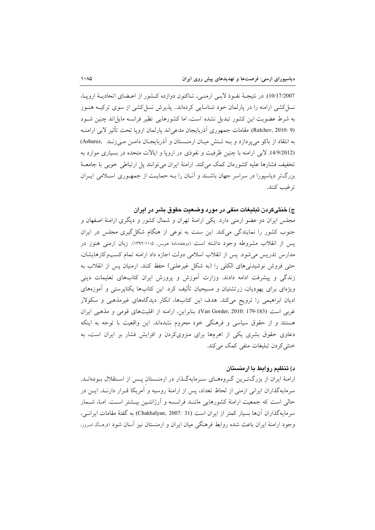10/17/2007). در نتيجـهٔ نفـوذ لابـي ارمنـي، تـاكنون دوازده كـشور از اعـضاى اتحاديـهٔ ارويـا، نسل کشی ارامنه را در پارلمان خود شناسایی کردهاند.. پذیرش نسل کشی از سوی ترکیــه هنــوز به شرط عضویت این کشور تبدیل نشده است، اما کشورهایی نظیر فرانسه مایل اند چنین شـود (Ralchev, 2010: 9). مقامات جمهوري أذربايجان مدعى اند يارلمان ارويا تحت تأثير لابي ارامنــه به انتقاد از باکو می پردازد و بـه تـنش میـان ارمنـستان و آذربایجـان دامـن مـی زنـد (Asbarez (14/9/2012. لابی ارامنه با چنین ظرفیت و نفوذی در اروپا و ایالات متحده در بسیاری موارد به تخفیف فشارها علیه کشورمان کمک میکند. ارامنهٔ ایران می توانند پل ارتباطی خوبی با جامعـهٔ بزرگتر دیاسیورا در سراسر جهان باشـند و آنــان را بــه حمایــت از جمهــوری اســلامی ایــران ترغيب كنند.

# ج) خنثیکردن تبلیغات منفی در مورد وضعیت حقوق بشر در ایران

مجلس ایران دو عضو ارمنی دارد. یکی ارامنهٔ تهران و شمال کشور و دیگری ارامنهٔ اصفهان و جنوب کشور را نمایندگی میکند. این سنت به نوعی از هنگام شکل گیری مجلس در ایران پس از انقلاب مشروطه وجود داشته است (دوهفتهنامهٔ مویس، ۱۳۹۲/۱۱/۵). زبان ارمنی هنوز در مدارس تدریس می شود. پس از انقلاب اسلامی دولت اجازه داد ارامنه تمام کسبوکارهایشان، حتى فروش نوشيدني هاي الكلي را (به شكل غيرعلني) حفظ كنند. ارمنيان پس از انقلاب به زندگی و پیشرفت ادامه دادند. وزارت آموزش و پرورش ایران کتابهای تعلیمات دینی ویژهای برای یهودیان، زرتشتیان و مسیحیان تألیف کرد. این کتابها یکتایرستی و آموزههای ادیان ابراهیمی را ترویج میکند. هدف این کتابها، انکار دیدگاههای غیرمذهبی و سکولار غربی است (Van Gorder, 2010: 179-183). بنابراین، ارامنه از اقلیتهای قومی و مذهبی ایران هستند و از حقوق سیاسی و فرهنگی خود محروم نشدهاند. این واقعیت با توجه به اینکه دعاوی حقوق بشری یکی از اهرمها برای منزویکردن و افزایش فشار بر ایران است، به خنثی کر دن تبلیغات منفی کمک می کند.

# د) تنظیم روابط یا ارمنستان

ارامنهٔ ایران از بزرگترین گروههای سرمایهگذار در ارمنـستان پـس از اسـتقلال بـودهانـد. سرمايهگذاران ايراني ارمني از لحاظ تعداد، پس از ارامنهٔ روسيه و آمريکا قـرار دارنـد. ايــن در حالی است که جمعیت ارامنهٔ کشورهایی ماننـد فرانـسه و آرژانتـین بیــشتر اســت. امــا، شــمار سرمايهگذاران آنها بسيار كمتر از ايران است (Chakhalyan, 2007: 31). به گفتهٔ مقامات ايرانسي، وجود ارامنهٔ ایران باعث شده روابط فرهنگی میان ایران و ارمنستان نیز آسان شود (فرهنگ امروز،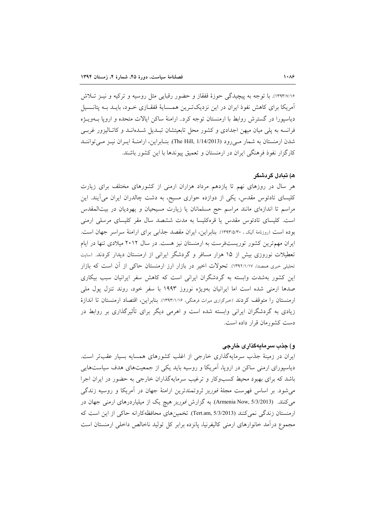۱۳۹۳/۷/۱۶). با توجه به پیچیدگی حوزهٔ قفقاز و حضور رقبایی مثل روسیه و ترکیه و نیـز تـلاش آمریکا برای کاهش نفوذ ایران در این نزدیکت بین همـسایهٔ قفقـازی خـود، بایـد بـه پتانـسیل دیاسپورا در گسترش روابط با ارمنستان توجه کرد.. ارامنهٔ ساکن ایالات متحده و اروپا بـهویــژه فرانسه به یلی میان میهن اجدادی و کشور محل تابعیتشان تبـدیل شـدهانـد و کاتـالیزور غربـی شدن ارمنستان به شمار مـىروود (The Hill, 1/14/2013). بنـابراين، ارامنــهٔ ايــران نيــز مــى تواننــد کارگزار نفوذ فرهنگی ایران در ارمنستان و تعمیق پیوندها با این کشور باشند.

#### ه) تبادل گردشگر

هر سال در روزهای نهم تا یازدهم مرداد هزاران ارمنی از کشورهای مختلف برای زیارت کلیسای تادئوس مقدس، یکی از دوازده حواری مسیح، به دشت چالدران ایران می[یند. این مراسم تا اندازهای مانند مراسم حج مسلمانان یا زیارت مسیحیان و یهودیان در بیتالمقدس است. کلیسای تادئوس مقدس یا قرهکلیسا به مدت ششصد سال مقر کلیسای مرسلی ارمنی بوده است (روزنامهٔ آلیک ، ۱۳۹۳/۵/۳۰). بنابراین، ایران مقصد جذابی برای ارامنهٔ سراسر جهان است. ایران مهم ترین کشور توریستفرست به ارمنستان نیز هست. در سال ۲۰۱۲ میلادی تنها در ایام تعطیلات نوروزی بیش از ۱۵ هزار مسافر و گردشگر ایرانی از ارمنستان دیدار کردند. (سایت تحلیلی خبری همصدا، ۱۳۹۲/۱/۱۷). تحولات اخیر در بازار ارز ارمنستان حاکی از آن است که بازار این کشور بهشدت وابسته به گردشگران ایرانی است که کاهش سفر ایرانیان سبب بیکاری صدها ارمنی شده است اما ایرانیان بهویژه نوروز ۱۹۹۳ با سفر خود، روند تنزل یول ملی ارمنستان را متوقف كردند (خبرگزارى ميراث فرهنگى، ١٣٩٣/١/١۶). بنابراين، اقتصاد ارمنستان تا اندازهٔ زیادی به گردشگران ایرانی وابسته شده است و اهرمی دیگر برای تأثیرگذاری بر روابط در دست كشورمان قرار داده است.

### و) جذب سرمايهگذاری خارجی

ایران در زمینهٔ جذب سرمایهگذاری خارجی از اغلب کشورهای همسایه بسیار عقبتر است. دیاسپورای ارمنی ساکن در اروپا، آمریکا و روسیه باید یکی از جمعیتهای هدف سیاستهایی باشد که برای بهبود محیط کسبوکار و ترغیب سرمایهگذاران خارجی به حضور در ایران اجرا می شود. بر اساس فهرست مجلهٔ *فوربز ترو*تمندترین ارامنهٔ جهان در آمریکا و روسیه زندگی می کنند. (Armenia Now, 5/3/2013) به گزارش *فوربز هیچ* یک از میلیاردرهای ارمنی جهان در ارمنستان زندگی نمی کنند (Tert.am, 5/3/2013). تخمینهای محافظه کارانه حاکی از این است که مجموع درآمد خانوارهای ارمنی کالیفرنیا، یانزده برابر کل تولید ناخالص داخلی ارمنستان است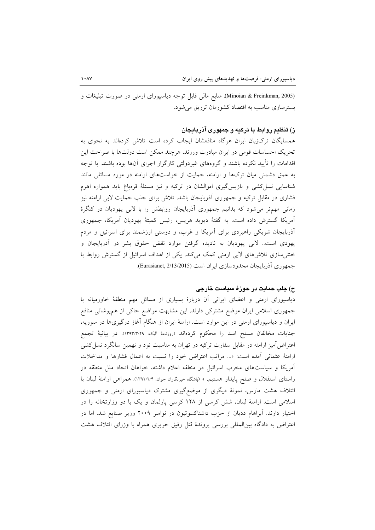(Minoian & Freinkman, 2005). منابع مالی قابل توجه دیاسپورای ارمنی در صورت تبلیغات و بسترسازی مناسب به اقتصاد کشورمان تزریق میشود.

# ز) تنظیم روابط با ترکیه و جمهوری آذربایجان

همسایگان ترکزبان ایران هرگاه منافعشان ایجاب کرده است تلاش کردهاند به نحوی به تحریک احساسات قومی در ایران مبادرت ورزند، هرچند ممکن است دولتها با صراحت این اقدامات را تأیید نکرده باشند و گروههای غیردولتی کارگزار اجرای آنها بوده باشند. با توجه به عمق دشمنی میان ترکها و ارامنه، حمایت از خواستهای ارامنه در مورد مسائلی مانند شناسایی نسل کشی و بازپس گیری اموالشان در ترکیه و نیز مسئلهٔ قرهباغ باید همواره اهرم فشاری در مقابل ترکیه و جمهوری آذربایجان باشد. تلاش برای جلب حمایت لابی ارامنه نیز زمانی مهم تر می شود که بدانیم جمهوری آذربایجان روابطش را با لابی یهودیان در کنگرهٔ آمریکا گسترش داده است. به گفتهٔ دیوید هریس، رئیس کمیتهٔ یهودیان آمریکا، جمهوری آذربایجان شریکی راهبردی برای آمریکا و غرب، و دوستی ارزشمند برای اسرائیل و مردم یهودی است. لابی یهودیان به نادیده گرفتن موارد نقض حقوق بشر در آذربایجان و خشی سازی تلاش های لابی ارمنی کمک میکند. یکی از اهداف اسرائیل از گسترش روابط با جمهوري آذربايجان محدودسازي ايران است (Eurasianet, 2/13/2015).

## ح) جلب حمايت در حوزهٔ سياست خارجي

دیاسپورای ارمنی و اعضای ایرانی آن دربارهٔ بسیاری از مسائل مهم منطقهٔ خاورمیانه با جمهوری اسلامی ایران موضع مشترکی دارند. این مشابهت مواضع حاکی از همپوشانی منافع ایران و دیاسپورای ارمنی در این موارد است. ارامنهٔ ایران از هنگام آغاز درگیریها در سوریه، جنايات مخالفان مسلح اسد را محكوم كردهاند (روزنامهٔ آليک، ١٣٩٣/٣/٢٩). در بيانيهٔ تجمع اعتراض[میز ارامنه در مقابل سفارت ترکیه در تهران به مناسبت نود و نهمین سالگرد نسل کشی ارامنهٔ عثمانی آمده است: «... مراتب اعتراض خود را نسبت به اعمال فشارها و مداخلات آمریکا و سیاستهای مخرب اسرائیل در منطقه اعلام داشته، خواهان اتحاد ملل منطقه در راستای استقلال و صلح پایدار هستیم. » (باشگاه خبرنگاران جوان، ۱۳۹۲/۲/۴). همراهی ارامنهٔ لبنان با ائتلاف هشت مارس، نمونهٔ دیگری از موضعگیری مشترک دیاسپورای ارمنی و جمهوری اسلامی است. ارامنهٔ لبنان، شش کرسی از ۱۲۸ کرسی پارلمان و یک یا دو وزارتخانه را در اختیار دارند. آبراهام ددیان از حزب داشناکسوتیون در نوامبر ۲۰۰۹ وزیر صنایع شد. اما در اعتراض به دادگاه بینالمللی بررسی پروندهٔ قتل رفیق حریری همراه با وزرای ائتلاف هشت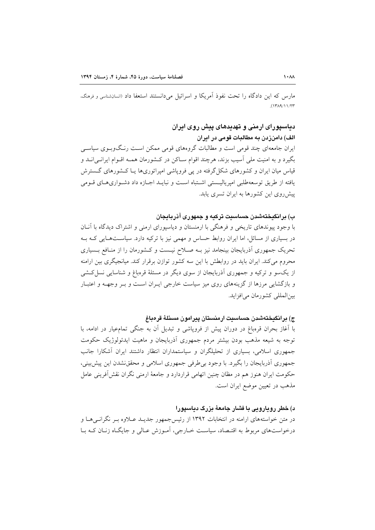مارس كه اين دادگاه را تحت نفوذ آمريكا و اسرائيل مي دانستند استعفا داد (انسانشناسي و فرهنگ،  $(1719/11/17)$ 

# دیاسپورای ارمنی و تهدیدهای پیش روی ایران

الف) دامنزدن به مطالبات قومی در ایران ایران جامعهای چند قومی است و مطالبات گروههای قومی ممکن اسـت رنـگوبـوی سیاسـی بگیرد و به امنیت ملی آسیب بزند، هرچند اقوام سـاکن در کـشورمان همـه اقــوام ایرانــی|نــد و قیاس میان ایران و کشورهای شکل گرفته در یی فرویاشی امیراتوریها یـا کــشورهای گــسترش يافته از طريق توسعهطلبي اميرياليــستي اشـتباه اسـت و نبايــد اجــازه داد دشــواريهـاي قــومي پیش روی این کشورها به ایران تسری پابد.

### ب) برانگیختهشدن حساسیت ترکیه و جمهوری آذربایجان

با وجود پیوندهای تاریخی و فرهنگی با ارمنستان و دیاسپورای ارمنی و اشتراک دیدگاه با آنـان در بسیاری از مسائل، اما ایران روابط حساس و مهمی نیز با ترکیه دارد. سیاستهبایی کـه بـه تحریک جمهوری آذربایجان بینجامد نیز بـه صـلاح نیـست و کـشورمان را از منـافع بـسیاری محروم می کند. ایران باید در روابطش با این سه کشور توازن برقرار کند. میانجیگری بین ارامنه از یکسو و ترکیه و جمهوری آذربایجان از سوی دیگر در مسئلهٔ قرهباغ و شناسایی نسل کشی و بازگشایی مرزها از گزینههای روی میز سیاست خارجی ایـران اسـت و بـر وجهــه و اعتبــار بين المللي كشورمان مي افزايد.

## ج) برانگيختەشدن حساسىت ارمنستان پيرامون مسئلهٔ قرەباغ

با آغاز بحران قرهباغ در دوران پیش از فروپاشی و تبدیل آن به جنگی تمام،یار در ادامه، با توجه به شیعه مذهب بودن بیشتر مردم جمهوری أذربایجان و ماهیت ایدئولوژیک حکومت جمهوری اسلامی، بسیاری از تحلیلگران و سیاستمداران انتظار داشتند ایران آشکارا جانب جمهوری آذربایجان را بگیرد. با وجود بی طرفی جمهوری اسلامی و محققنشدن این پیش بینی، حکومت ایران هنوز هم در مظان چنین اتهامی قراردارد و جامعهٔ ارمنی نگران نقشآفوینی عامل مذهب در تعیین موضع ایران است.

### د) خطر روپارویی با فشار جامعهٔ بزرگ دیاسپورا

در متن خواستههای ارامنه در انتخابات ۱۳۹۲ از رئیسجمهور جدیــد عــلاوه بــر نگرانــیهــا و درخواستهای مربوط به اقتـصاد، سیاسـت خــارجی، آمــوزش عــالی و جایگــاه زنــان کــه بــا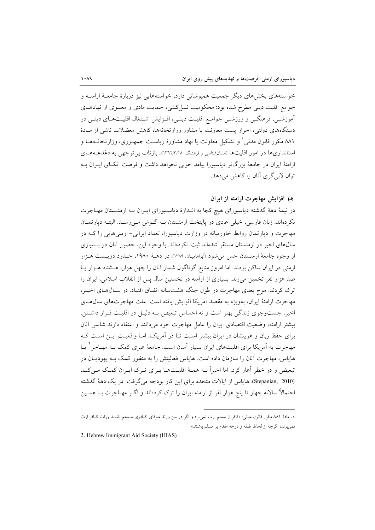خواستههای بخشهای دیگر جمعیت همپوشانی دارد، خواستههایی نیز دربارهٔ جامعـهٔ ارامنــه و جوامع اقلیت دینی مطرح شده بود: محکومیت نسل کشی، حمایت مادی و معنـوی از نهادهـای آموزشـی، فرهنگـی و ورزشـی جوامـع اقلیـت دینـی، افـزایش اشـتغال اقلیـتهـای دینـی در دستگاههای دولتی، احراز یست معاونت یا مشاور وزارتخانهها، کاهش معضلات ناشی از مـادهٔ ۸۸۱ مکرر قانون مدنی ْ و تشکیل معاونت یا نهاد مشاورهٔ ریاسـت جمهـوری، وزارتخانــههـا و استانداریها در امور اقلیتها (انسانشناسی و فرهنگ، ١٣٩٢/٣/١٨).. بازتاب بی توجهی به دغدغـههـای ارامنهٔ ایران در جامعهٔ بزرگتر دیاسپورا پیامد خوبی نخواهد داشت و فرصت اتکـای ایـران بـه توان لابی گری آنان را کاهش می دهد.

# ه) افزایش مهاجرت ارامنه از ایران

در نیمهٔ دههٔ گذشته دیاسپورای هیچ کجا به انـدازهٔ دیاسـپورای ایـران بـه ارمنـستان مهـاجرت نکردهاند. زبان فارسی، خیلی عادی در پایتخت ارمنستان بـه گـوش مـیرسـد. البتـه دپارتمـان مهاجرت و دیارتمان روابط خاورمیانه در وزارت دیاسپورا، تعداد ایرانی- ارمنیهایی را کـه در سالهای اخیر در ارمنستان مستقر شدهاند ثبت نکردهاند. با وجود این، حضور آنان در بـسیاری از وجوه جامعهٔ ارمنستان حس می شود (أبراهامیـان، ۱۳۸۹). در دهــهٔ ۱۹۸۰، حــدود دویــست هــزار ارمنی در ایران ساکن بودند. اما امروز منابع گوناگون شمار آنان را چهل هزار، هـشتاد هـزار یـا صد هزار نفر تخمین میزند. بسیاری از ارامنه در نخستین سال پس از انقلاب اسلامی، ایران را ترک کردند. موج بعدی مهاجرت در طول جنگ هشتساله اتفاق افتـاد. در سـال۵حای اخیـر، مهاجرت ارامنهٔ ایران، بهویژه به مقصد آمریکا افزایش یافته است. علت مهاجرتهای سال هــای اخیر، جستوجوی زندگی بهتر است و نه احساس تبعیض بـه دلیـل در اقلیـت قـرار داشـتن. بيشتر ارامنه، وضعيت اقتصادى ايران را عامل مهاجرت خود مىءانند و اعتقاد دارند شانس آنان برای حفظ زبان و هویتشان در ایران بیشتر اسـت تــا در آمریکــا. امــا واقعیــت ایــن اســت کــه مهاجرت به آمریکا برای اقلیتهای ایران بسیار آسان است. جامعهٔ عبری کمک بــه مهــاجر ` یــا هایاس، مهاجرت آنان را سازمان داده است. هایاس فعالیتش را به منظور کمک بـه یهودیـان در تبعیض و در خطر آغاز کرد، اما اخیراً بـه همـهٔ اقلیـتهــا بــرای تــرک ایــران کمــک مــی کنــد (Stepanian, 2010). هایاس از ایالات متحده برای این کار بودجه میگرفت. در یک دههٔ گذشته احتمالاً سالانه چهار تا پنج هزار نفر از ارامنه ایران را ترک کردهاند و اگـر مهـاجرت بــا همــین

2. Hebrew Immigrant Aid Society (HIAS)

۰۱ مادهٔ ۸۸۱ مکرر قانون مدنی: «کافر از مسلم ارث نمی برد و اگر در بین ورثهٔ متوفای کـافری مـسلم باشـد وراث کـافر ارث نمي برند، اگرچه از لحاظ طبقه و درجه مقدم بر مسلم باشند.»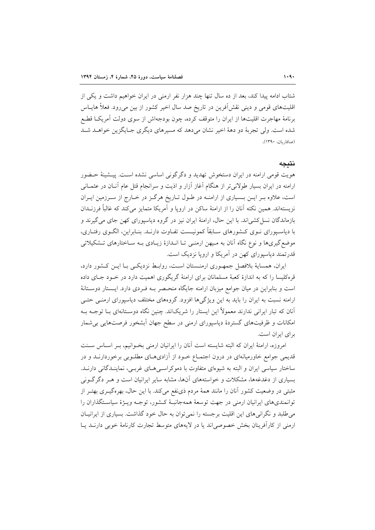شتاب ادامه پیدا کند، بعد از ده سال تنها چند هزار نفر ارمنی در ایران خواهیم داشت و یکی از اقلیتهای قومی و دینی نقش آفرین در تاریخ صد سال اخیر کشور از بین می رود. فعلاً هایــاس برنامهٔ مهاجرت اقلیتها از ایران را متوقف کرده، چون بودجهاش از سوی دولت آمریک اقطع شده است. ولي تجربهٔ دو دههٔ اخير نشان مي دهد كه مسيرهاي ديگري جـايگزين خواهــد شــد (صافاريان، ١٣٩٠).

#### نتىحە

هویت قومی ارامنه در ایران دستخوش تهدید و دگرگونی اساسی نشده است. پیـشینهٔ حـضور ارامنه در ایران بسیار طولانی تر از هنگام آغاز آزار و اذیت و سرانجام قتل عام آنــان در عثمــانی است، علاوه بـر ايـن بـسياري از ارامنـه در طـول تـاريخ هرگـز در خـارج از سـرزمين ايـران نزیستهاند. همین نکته آنان را از ارامنهٔ ساکن در اروپا و آمریکا متمایز میکند که غالباً فرزنــدان بازماندگان نسل کشی اند. با این حال، ارامنهٔ ایران نیز در گروه دیاسیورای کهن جای می گیرند و با دیاسـپورای نــوی کــشورهای ســابقاً کمونیــست تفــاوت دارنــد. بنــابراین، الگــوی رفتــاری، موضع گیریها و نوع نگاه آنان به مـیهن ارمنـی تـا انــدازهٔ زیــادی بــه ســاختارهای تــشکیلاتی قدرتمند دياسيوراي کهن در آمريکا و اروپا نزديک است.

ایران، همسایهٔ بلافصل جمهوری ارمنـستان اسـت، روابـط نزدیکـی بـا ایــن کـشور دارد، قرهکلیسا را که به اندازهٔ کعبهٔ مسلمانان برای ارامنهٔ گریگوری اهمیت دارد در خـود جـای داده است و بنابراین در میان جوامع میزبان ارامنه جایگاه منحـصر بـه فـردی دارد. ایـستار دوسـتانهٔ ارامنه نسبت به ایران را باید به این ویژگی ها افزود. گروههای مختلف دیاسیورای ارمنبی حتبی آنان که تبار ایرانی ندارند معمولاً این ایستار را شریکاند. چنین نگاه دوسـتانهای بــا توجــه بــه امکانات و ظرفیتهای گستردهٔ دیاسپورای ارمنی در سطح جهان آبشخور فرصتهایی بی شمار بر ای ایران است.

امروزه، ارامنهٔ ایران که البته شایسته است آنان را ایرانیان ارمنی بخـوانیم، بـر اسـاس سـنت قدیمی جوامع خاورمیانهای در درون اجتمـاع خـود از آزادیهـای مطلـوبی برخوردارنــد و در ساختار سیاسی ایران و البته به شیوهای متفاوت با دموکراسب هـای غربـی، نماینــدگانی دارنــد. بسیاری از دغدغهها، مشکلات و خواستههای آنها، مشابه سایر ایرانیان است و هـر دگرگـونی مثبتی در وضعیت کشور آنان را مانند همهٔ مردم ذی نفع میکند. با این حال، بهرهگیــری بهتــر از توانمندیهای ایرانیان ارمنی در جهت توسعهٔ همهجانبـهٔ کـشور، توجـه ویــژهٔ سیاسـتگذاران را می طلبد و نگرانی های این اقلیت برجسته را نمی توان به حال خود گذاشت. بسیاری از ایرانیــان ارمنی از کارآفرینان بخش خصوصی اند یا در لایههای متوسط تجارت کارنامهٔ خوبی دارنـد یـا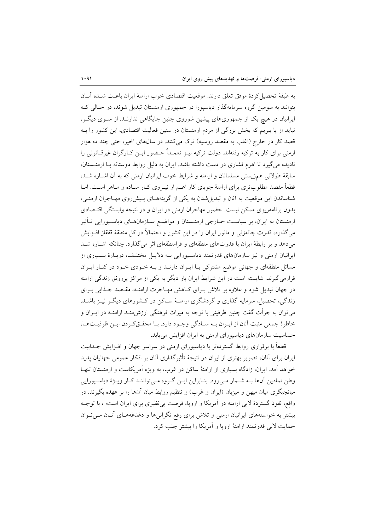به طبقهٔ تحصیل کردهٔ موفق تعلق دارند. موقعیت اقتصادی خوب ارامنهٔ ایران باعـث شــده آنــان بتوانند به سومین گروه سرمایهگذار دیاسیورا در جمهوری ارمنستان تبدیل شوند، در حـالی کـه ایرانیان در هیچ یک از جمهوریهای پیشین شوروی چنین جایگاهی ندارنـد. از سـوی دیگـر، نباید از یا ببریم که بخش بزرگی از مردم ارمنستان در سنین فعالیت اقتصادی، این کشور را بـه قصد کار در خارج (اغلب به مقصد روسیه) ترک میکنند. در سالهای اخیر، حتی چند ده هزار ارمنی برای کار به ترکیه رفتهاند. دولت ترکیه نیـز تعمــداً حــضور ایـن کــارگران غیرقــانونی را نادیده می گیرد تا اهرم فشاری در دست داشته باشد. ایران به دلیل روابط دوستانه بـا ارمنـستان، سابقهٔ طولانی همزیستی مسلمانان و ارامنه و شرایط خوب ایرانیان ارمنی که به آن اشـاره شـد، قطعاً مقصد مطلوبتری برای ارامنهٔ جویای کار اعـم از نیــروی کــار ســاده و مــاهر اســت. امــا شناساندن این موقعیت به آنان و تبدیل شدن به یکی از گزینههـای پـیش(وی مهـاجران ارمنـی، بدون برنامهریزی ممکن نیست. حضور مهاجران ارمنی در ایران و در نتیجه وابستگی اقتـصادی ارمنستان به ایران، بر سیاست خـارجی ارمنـستان و مواضـع سـازمانهـای دیاسـپورایی تـأثیر میگذارد، قدرت چانەزنی و مانور ایران را در این کشور و احتمالاً در کل منطقهٔ قفقاز افــزایش میدهد و بر رابطهٔ ایران با قدرتهای منطقهای و فرامنطقهای اثر میگذارد. چنانکه اشاره شد ایرانیان ارمنی و نیز سازمانهای قدرتمند دیاسپورایی بـه دلایـل مختلـف، دربـارهٔ بـسیاری از مسائل منطقهای و جهانی موضع مشترکی بـا ایـران دارنـد و بـه خـودی خـود در کنـار ایـران قرارمی گیرند. شایسته است در این شرایط ایران بار دیگر به یکی از مراکز پررونق زندگی ارامنه در جهان تبدیل شود و علاوه بر تلاش بـرای کـاهش مهـاجرت ارامنــه، مقـصد جــذابی بـرای زندگی، تحصیل، سرمایه گذاری و گردشگری ارامنـهٔ سـاکن در کـشورهای دیگـر نیـز باشـد. میتوان به جرأت گفت چنین ظرفیتی با توجه به میراث فرهنگی ارزش۵منـد ارامنــه در ایــران و خاطرهٔ جمعی مثبت آنان از ایـران بـه سـادگی وجـود دارد. بـا محقـقکردن ایـن ظرفیـتهـا، حساسیت سازمانهای دیاسپورای ارمنی به ایران افزایش می یابد.

قطعاً با برقراری روابط گستردهتر با دیاسپورای ارمنی در سراسر جهان و افــزایش جــذابیت ایران برای آنان، تصویر بهتری از ایران در نتیجهٔ تأثیرگذاری آنان بر افکار عمومی جهانیان پدید خواهد آمد. ایران، زادگاه بسیاری از ارامنهٔ ساکن در غرب، به ویژه آمریکاست و ارمنستان تنهـا وطن نمادين آنها بـه شـمار مـي(ود. بنـابراين ايـن گـروه مـيتواننـد كـار ويـژهٔ دياسـيورايي میانجیگری میان میهن و میزبان (ایران و غرب) و تنظیم روابط میان آنها را بر عهده بگیرند. در واقع، نفوذ گستردهٔ لابی ارامنه در آمریکا و اروپا، فرصت بی نظیری برای ایران است؛ ، با توجـه بیشتر به خواستههای ایرانیان ارمنی و تلاش برای رفع نگرانی ها و دغدغههـای آنـان مـی تـوان حمايت لابي قدرتمند ارامنهٔ اروپا و اَمريکا را بيشتر جلب کرد.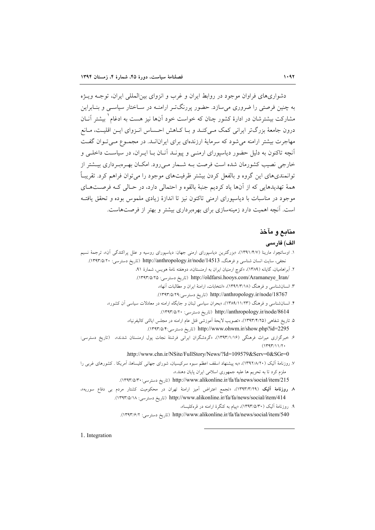دشواریهای فراوان موجود در روابط ایران و غرب و انزوای بین(لمللی ایران، توجـه ویــژه به چنین فرصتی را ضروری می سازد. حضور پررنگت ارامنـه در سـاختار سیاسـی و بنـابراین مشارکت بیشترشان در ادارهٔ کشور چنان که خواست خود آنها نیز هست به ادغام ٰ بیشتر آنــان درون جامعهٔ بزرگتر ایرانی کمک مـیکنـد و بـا کــاهش احـساس انـزوای ایــن اقلیـت، مــانع مهاجرت بیشتر ارامنه می شود که سرمایهٔ ارزندهای برای ایرانانـد. در مجمـوع مـی تـوان گفـت آنچه تاکنون به دلیل حضور دیاسپورای ارمنبی و پیونـد آنــان بــا ایــران، در سیاسـت داخلــی و خارجی نصیب کشورمان شده است فرصت بـه شــمار مــی رود. امکــان بهـروبـرداری بیــشتر از توانمندیهای این گروه و بالفعل کردن بیشتر ظرفیتهای موجود را می توان فراهم کرد. تقریباً همهٔ تهدیدهایی که از آنها یاد کردیم جنبهٔ بالقوه و احتمالی دارد، در حـالی کـه فرصـتهـای موجود در مناسبات با دیاسیورای ارمنی تاکنون نیز تا اندازهٔ زیادی ملموس بوده و تحقق یافتـه است. آنچه اهمیت دارد زمینهسازی برای بهروبرداری بیشتر و بهتر از فرصتهاست.

# منابع و مآخذ

#### الف) فارسى

- ۱. اوساتچوا، مارینا (۱۳۹۱/۴/۷)، «بزرگترین دیاسپورای ارمنی جهان: دیاسپورای روسیه و علل پراکندگی آن»، ترجمهٔ نسیم نجفی، سایت انسان شناسی و فرهنگ، http://anthropology.ir/node/14513 (تاریخ دسترسی: ١٣٩٣/٥/٢٠).
	- ۲. آبراهامیان، گایانه (۱۳۸۹)، «کوچ ارمنیان ایران به ارمنستان»، دوهفته نامهٔ هویس، شمارهٔ ۹۱، /http://oldfarsi.hooys.com/Aramaneye Iran (تاريخ دسترسى: ١٣٩٣/٥/٢٥).
		- ۳. انسان شناسی و فرهنگ (۱۲/۳/۲/۱۸)، «انتخابات، ارامنهٔ ایران و مطالبات آنها»، http://anthropology.ir/node/18767 (تاريخ دسترسي:١٣٩٣/٥/٢٩).
	- ۴. انسان شناسی و فرهنگ (۱۱/۲۳)، ۱۳۸۹/۱)، «بحران سیاسی لبنان و جایگاه ارامنه در معادلات سیاسی آن کشور»، http://anthropology.ir/node/8614 (تاريخ دسترسي: ١٣٩٣/٥/٢٠).
		- ۵. تاريخ شفاهي (١٣٩٣/٤/٢٥)، «تصويب لايحهٔ اَموزشي قتل عام ارامنه در مجلس ايالتي كاليفرنيا»، http://www.ohwm.ir/show.php?id=2295 (تاريخ دسترسي:١٣٩٣/٥/۴).
- ۶. خبرگزاری میراث فرهنگی (۱۲۹۳/۱/۱۶)، «گردشگران ایرانی فرشتهٔ نجات پول ارمنستان شدند»، (تاریخ دسترسی:  $(1444/11/7)$ 
	- .http://www.chn.ir/NSite/FullStory/News/?Id=109579&Serv=0&SGr=0
- ۷. روزنامهٔ آلیک (۱۳۹۲/۸/۲۰)، «به پیشنهاد اسقف اعظم سبوه سرکیسیان، شورای جهانی کلیساها، آمریکا . کشورهای غربی را ملزم کرد تا به تحریم ها علیه جمهوری اسلامی ایران یابان دهند.»، http://www.alikonline.ir/fa/fa/news/social/item/215 (تاريخ دسترسي: ١٣٩٣/٥/٣٠).
- ۸ روزنامهٔ آلیک (۱۳۹۳/۳/۲۹)، «تجمع اعتراض اَمیز ارامنهٔ تهران در محکومیت کشتار مردم بی دفاع سوریه»، http://www.alikonline.ir/fa/fa/news/social/item/414 (تاريخ دسترسي: ١٣٩٣/٥/١٨).
	- ۹. روزنامهٔ آلیک (۱۳۹۳/۵/۳۰)، «پیام به کنگرهٔ ارامنه در قرهکلیسا»، http://www.alikonline.ir/fa/fa/news/social/item/540 (تاريخ دسترسي: ١٣٩٣/۶/٢).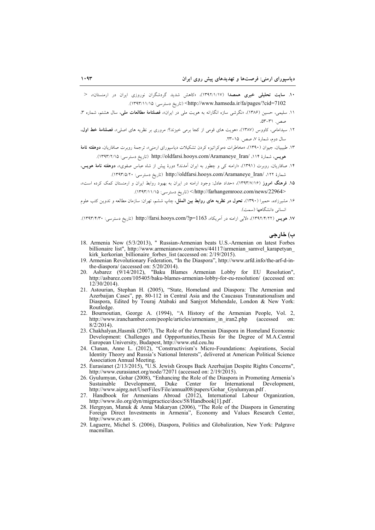- ۰۱. **سایت تحلیلی خبری همصدا** (۱/۱/۱۷)، «کاهش شدید گردشگران نوروزی ایران در ارمنستان»، < http://www.hamseda.ir/fa/pages/?cid=7102> </ref> (تاريخ دسترسي: ١٣٩٣/١١/١٥).
- ۱۱. سلیمی، حسین (۱۳۸۶)، «نگرشی سازه انگارانه به هویت مل<sub>ی</sub> در ایران»، **فصلنامهٔ مطالعات ملی**، سال هشتم، شماره ۳، صص. ٣١-٥٣.
- ۱۲. سیدامامی، کاووس (۱۳۸۷)، «هویت های قومی از کجا برمی خیزند؟: مروری بر نظریه های اصلی»، فصلنامهٔ خط اول، سال دوم، شمارهٔ ۷، صص. ۱۵–۲۳.
- ۱۳. طبیبیان، جیوان (۱۳۹۰)، «مخاطرات دموکراتیزه کردن تشکیلات دیاسپورای ارمنی»، ترجمهٔ روبرت صافاریان، **دوهفته نامهٔ** هويس، شمارة ١١۴، /http://oldfarsi.hooys.com/Aramaneye\_Iran (تاريخ دسترسي: ١٣٩٣/٢/١٥).
- ۱۴. صافاریان، روبرت (۱۳۹۱)، «ارامنه کی و چطور به ایران اَمدند؟ دورهٔ پیش از شاه عباس صفوی»، **دوهفته نامهٔ هویس**، شمارة ١٢٢، /http://oldfarsi.hooys.com/Aramaneye\_Iran (تاريخ دسترسي: ١٣٩٣/٥/٢٠).
- ۱۵. فرهنگ امروز (۱۳۹۳/۷/۱۶)، «حداد عادل: وجود ارامنه در ایران به بهبود روابط ایران و ارمنستان کمک کرده است»، </http://farhangemrooz.com/news/22964> (تاريخ دسترسي: ١٣٩٣/١١/١٥).
- ۱۶. مشیرزاده، حمیرا (۱۳۹۰)، **تحول در نظریه های روابط بین الملل**، چاپ ششم، تهران: سازمان مطالعه و تدوین کتب علوم انسانی دانشگاهها (سمت).

١٧. هويس (١٣٩٢/٢/٢)، «لابي ارامنه در آمريكا»، http://farsi.hooys.com/?p=1163 (تاريخ دسترسي: ١٣٩٣/٢/٠).

ب) خارجي

- 18. Armenia Now (5/3/2013), " Russian-Armenian beats U.S.-Armenian on latest Forbes billionaire list", http://www.armenianow.com/news/44117/armenian samvel karapetyan kirk kerkorian billionaire forbes list (accessed on: 2/19/2015).
- 19. Armenian Revolutionary Federation, "In the Diaspora", http://www.arfd.info/the-arf-d-inthe-diaspora/ (accessed on: 5/20/2014).
- 20. Asbarez (9/14/2012), "Baku Blames Armenian Lobby for EU Resolution". http://asbarez.com/105405/baku-blames-armenian-lobby-for-eu-resolution/ (accessed on:  $12/30/2014$ ).
- 21. Astourian, Stephan H. (2005), "State, Homeland and Diaspora: The Armenian and Azerbaijan Cases", pp. 80-112 in Central Asia and the Caucasus Transnationalism and Diaspora, Edited by Touraj Atabaki and Sanjyot Mehendale, London & New York: Routledge
- 22. Bournoutian, George A. (1994), "A History of the Armenian People, Vol. 2, http://www.iranchamber.com/people/articles/armenians in iran2.php (accessed) on:  $8/\overline{2}/2014$ ).
- 23. Chakhalyan, Hasmik (2007), The Role of the Armenian Diaspora in Homeland Economic Development: Challenges and Oppportunities, Thesis for the Degree of M.A.Central European University, Budapest, http://www.etd.ceu.hu
- 24. Clunan, Anne L. (2012), "Constructivism's Micro-Foundations: Aspirations. Social Identity Theory and Russia's National Interests", delivered at American Political Science Association Annual Meeting.
- 25. Eurasianet (2/13/2015), "U.S. Jewish Groups Back Azerbaijan Despite Rights Concerns", http://www.eurasianet.org/node/72071 (accessed on: 2/19/2015).<br>26. Gyulumyan, Gohar (2008), "Enhancing the Role of the Diaspora in Promoting Armenia's
- Sustainable Development Duke Center for International Development, http://www.aiprg.net/UserFiles/File/annual08/papers/Gohar Gyulumyan.pdf.
- Handbook for Armenians Abroad (2012), International Labour Organization, 27. http://www.ilo.org/dyn/migpractice/docs/58/Handbook[1].pdf
- 28. Hergnyan, Manuk & Anna Makaryan (2006), "The Role of the Diaspora in Generating Foreign Direct Investments in Armenia", Economy and Values Research Center, http://www.ev.am.
- 29. Laguerre, Michel S. (2006), Diaspora, Politics and Globalization, New York: Palgrave macmillan.